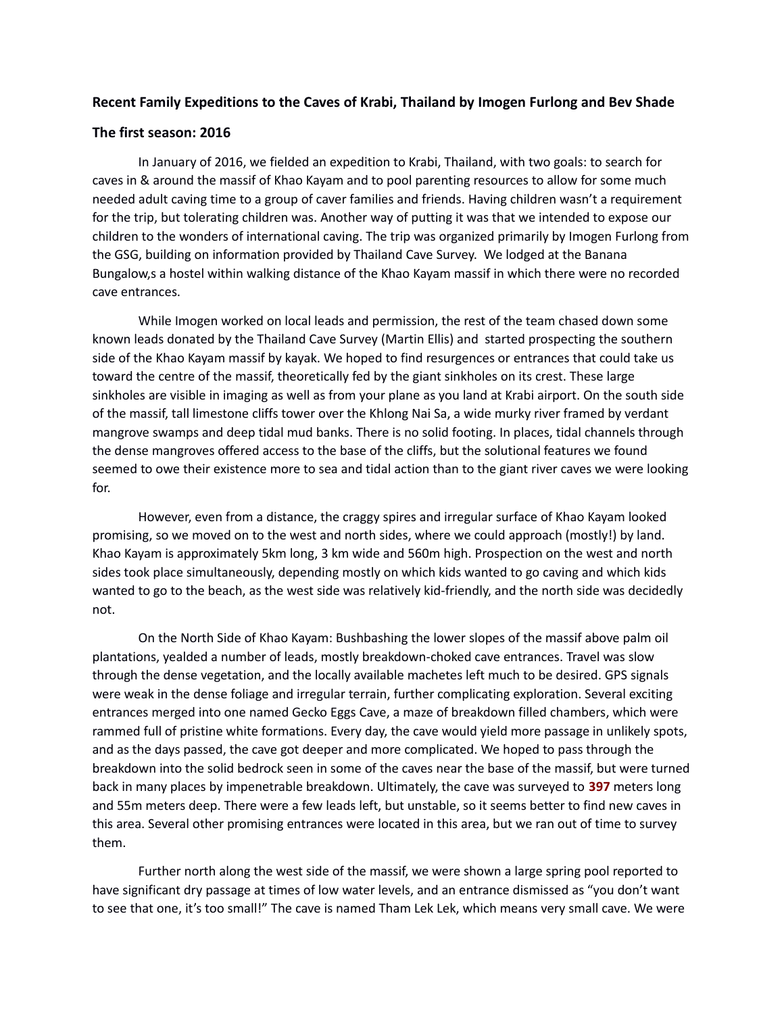## **Recent Family Expeditions to the Caves of Krabi, Thailand by Imogen Furlong and Bev Shade**

## **The first season: 2016**

In January of 2016, we fielded an expedition to Krabi, Thailand, with two goals: to search for caves in & around the massif of Khao Kayam and to pool parenting resources to allow for some much needed adult caving time to a group of caver families and friends. Having children wasn't a requirement for the trip, but tolerating children was. Another way of putting it was that we intended to expose our children to the wonders of international caving. The trip was organized primarily by Imogen Furlong from the GSG, building on information provided by Thailand Cave Survey. We lodged at the Banana Bungalow,s a hostel within walking distance of the Khao Kayam massif in which there were no recorded cave entrances.

While Imogen worked on local leads and permission, the rest of the team chased down some known leads donated by the Thailand Cave Survey (Martin Ellis) and started prospecting the southern side of the Khao Kayam massif by kayak. We hoped to find resurgences or entrances that could take us toward the centre of the massif, theoretically fed by the giant sinkholes on its crest. These large sinkholes are visible in imaging as well as from your plane as you land at Krabi airport. On the south side of the massif, tall limestone cliffs tower over the Khlong Nai Sa, a wide murky river framed by verdant mangrove swamps and deep tidal mud banks. There is no solid footing. In places, tidal channels through the dense mangroves offered access to the base of the cliffs, but the solutional features we found seemed to owe their existence more to sea and tidal action than to the giant river caves we were looking for.

However, even from a distance, the craggy spires and irregular surface of Khao Kayam looked promising, so we moved on to the west and north sides, where we could approach (mostly!) by land. Khao Kayam is approximately 5km long, 3 km wide and 560m high. Prospection on the west and north sides took place simultaneously, depending mostly on which kids wanted to go caving and which kids wanted to go to the beach, as the west side was relatively kid-friendly, and the north side was decidedly not.

On the North Side of Khao Kayam: Bushbashing the lower slopes of the massif above palm oil plantations, yealded a number of leads, mostly breakdown-choked cave entrances. Travel was slow through the dense vegetation, and the locally available machetes left much to be desired. GPS signals were weak in the dense foliage and irregular terrain, further complicating exploration. Several exciting entrances merged into one named Gecko Eggs Cave, a maze of breakdown filled chambers, which were rammed full of pristine white formations. Every day, the cave would yield more passage in unlikely spots, and as the days passed, the cave got deeper and more complicated. We hoped to pass through the breakdown into the solid bedrock seen in some of the caves near the base of the massif, but were turned back in many places by impenetrable breakdown. Ultimately, the cave was surveyed to **397** meters long and 55m meters deep. There were a few leads left, but unstable, so it seems better to find new caves in this area. Several other promising entrances were located in this area, but we ran out of time to survey them.

Further north along the west side of the massif, we were shown a large spring pool reported to have significant dry passage at times of low water levels, and an entrance dismissed as "you don't want to see that one, it's too small!" The cave is named Tham Lek Lek, which means very small cave. We were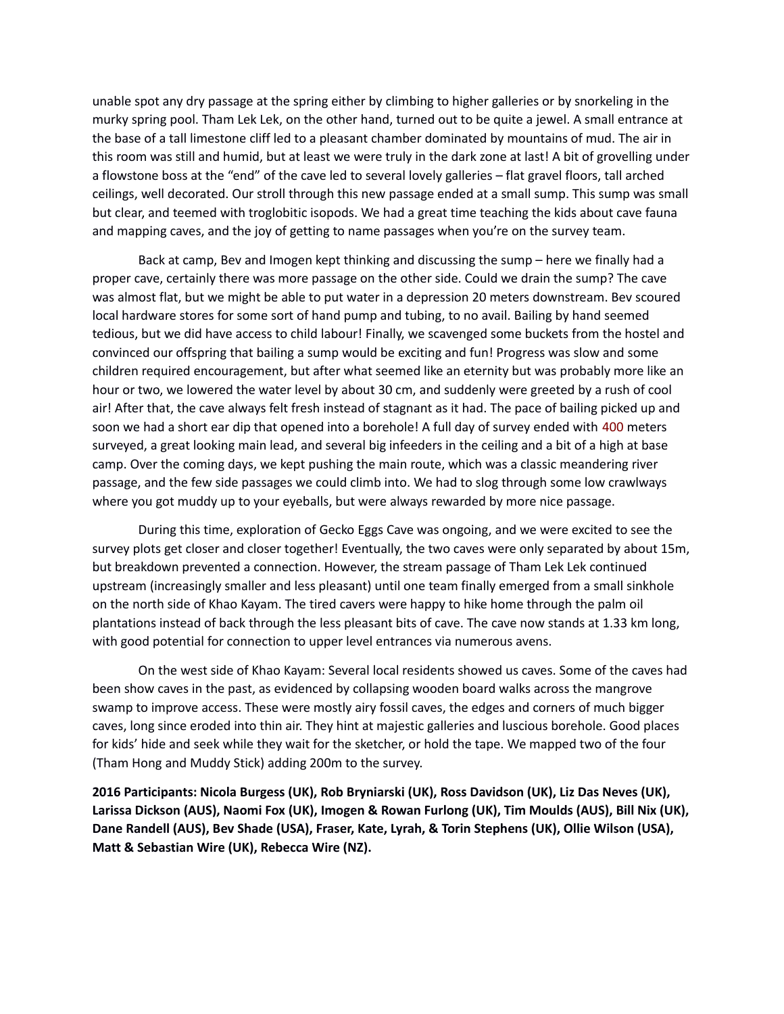unable spot any dry passage at the spring either by climbing to higher galleries or by snorkeling in the murky spring pool. Tham Lek Lek, on the other hand, turned out to be quite a jewel. A small entrance at the base of a tall limestone cliff led to a pleasant chamber dominated by mountains of mud. The air in this room was still and humid, but at least we were truly in the dark zone at last! A bit of grovelling under a flowstone boss at the "end" of the cave led to several lovely galleries – flat gravel floors, tall arched ceilings, well decorated. Our stroll through this new passage ended at a small sump. This sump was small but clear, and teemed with troglobitic isopods. We had a great time teaching the kids about cave fauna and mapping caves, and the joy of getting to name passages when you're on the survey team.

Back at camp, Bev and Imogen kept thinking and discussing the sump – here we finally had a proper cave, certainly there was more passage on the other side. Could we drain the sump? The cave was almost flat, but we might be able to put water in a depression 20 meters downstream. Bev scoured local hardware stores for some sort of hand pump and tubing, to no avail. Bailing by hand seemed tedious, but we did have access to child labour! Finally, we scavenged some buckets from the hostel and convinced our offspring that bailing a sump would be exciting and fun! Progress was slow and some children required encouragement, but after what seemed like an eternity but was probably more like an hour or two, we lowered the water level by about 30 cm, and suddenly were greeted by a rush of cool air! After that, the cave always felt fresh instead of stagnant as it had. The pace of bailing picked up and soon we had a short ear dip that opened into a borehole! A full day of survey ended with 400 meters surveyed, a great looking main lead, and several big infeeders in the ceiling and a bit of a high at base camp. Over the coming days, we kept pushing the main route, which was a classic meandering river passage, and the few side passages we could climb into. We had to slog through some low crawlways where you got muddy up to your eyeballs, but were always rewarded by more nice passage.

During this time, exploration of Gecko Eggs Cave was ongoing, and we were excited to see the survey plots get closer and closer together! Eventually, the two caves were only separated by about 15m, but breakdown prevented a connection. However, the stream passage of Tham Lek Lek continued upstream (increasingly smaller and less pleasant) until one team finally emerged from a small sinkhole on the north side of Khao Kayam. The tired cavers were happy to hike home through the palm oil plantations instead of back through the less pleasant bits of cave. The cave now stands at 1.33 km long, with good potential for connection to upper level entrances via numerous avens.

On the west side of Khao Kayam: Several local residents showed us caves. Some of the caves had been show caves in the past, as evidenced by collapsing wooden board walks across the mangrove swamp to improve access. These were mostly airy fossil caves, the edges and corners of much bigger caves, long since eroded into thin air. They hint at majestic galleries and luscious borehole. Good places for kids' hide and seek while they wait for the sketcher, or hold the tape. We mapped two of the four (Tham Hong and Muddy Stick) adding 200m to the survey.

**2016 Participants: Nicola Burgess (UK), Rob Bryniarski (UK), Ross Davidson (UK), Liz Das Neves (UK), Larissa Dickson (AUS), Naomi Fox (UK), Imogen & Rowan Furlong (UK), Tim Moulds (AUS), Bill Nix (UK), Dane Randell (AUS), Bev Shade (USA), Fraser, Kate, Lyrah, & Torin Stephens (UK), Ollie Wilson (USA), Matt & Sebastian Wire (UK), Rebecca Wire (NZ).**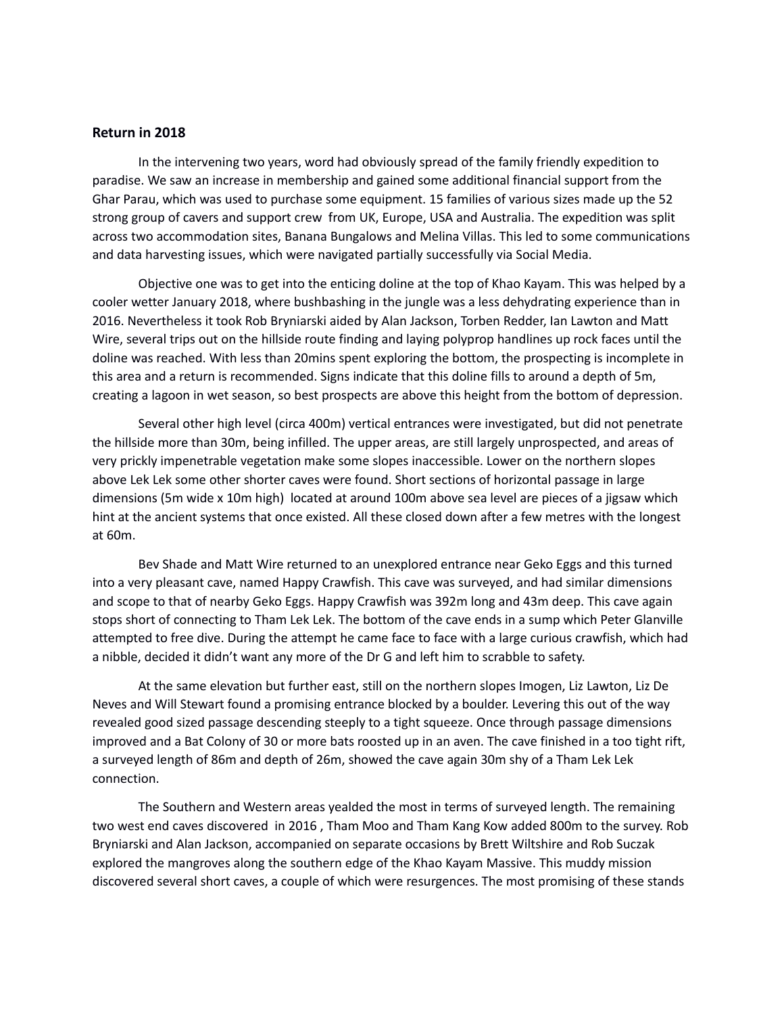## **Return in 2018**

In the intervening two years, word had obviously spread of the family friendly expedition to paradise. We saw an increase in membership and gained some additional financial support from the Ghar Parau, which was used to purchase some equipment. 15 families of various sizes made up the 52 strong group of cavers and support crew from UK, Europe, USA and Australia. The expedition was split across two accommodation sites, Banana Bungalows and Melina Villas. This led to some communications and data harvesting issues, which were navigated partially successfully via Social Media.

Objective one was to get into the enticing doline at the top of Khao Kayam. This was helped by a cooler wetter January 2018, where bushbashing in the jungle was a less dehydrating experience than in 2016. Nevertheless it took Rob Bryniarski aided by Alan Jackson, Torben Redder, Ian Lawton and Matt Wire, several trips out on the hillside route finding and laying polyprop handlines up rock faces until the doline was reached. With less than 20mins spent exploring the bottom, the prospecting is incomplete in this area and a return is recommended. Signs indicate that this doline fills to around a depth of 5m, creating a lagoon in wet season, so best prospects are above this height from the bottom of depression.

Several other high level (circa 400m) vertical entrances were investigated, but did not penetrate the hillside more than 30m, being infilled. The upper areas, are still largely unprospected, and areas of very prickly impenetrable vegetation make some slopes inaccessible. Lower on the northern slopes above Lek Lek some other shorter caves were found. Short sections of horizontal passage in large dimensions (5m wide x 10m high) located at around 100m above sea level are pieces of a jigsaw which hint at the ancient systems that once existed. All these closed down after a few metres with the longest at 60m.

Bev Shade and Matt Wire returned to an unexplored entrance near Geko Eggs and this turned into a very pleasant cave, named Happy Crawfish. This cave was surveyed, and had similar dimensions and scope to that of nearby Geko Eggs. Happy Crawfish was 392m long and 43m deep. This cave again stops short of connecting to Tham Lek Lek. The bottom of the cave ends in a sump which Peter Glanville attempted to free dive. During the attempt he came face to face with a large curious crawfish, which had a nibble, decided it didn't want any more of the Dr G and left him to scrabble to safety.

At the same elevation but further east, still on the northern slopes Imogen, Liz Lawton, Liz De Neves and Will Stewart found a promising entrance blocked by a boulder. Levering this out of the way revealed good sized passage descending steeply to a tight squeeze. Once through passage dimensions improved and a Bat Colony of 30 or more bats roosted up in an aven. The cave finished in a too tight rift, a surveyed length of 86m and depth of 26m, showed the cave again 30m shy of a Tham Lek Lek connection.

The Southern and Western areas yealded the most in terms of surveyed length. The remaining two west end caves discovered in 2016 , Tham Moo and Tham Kang Kow added 800m to the survey. Rob Bryniarski and Alan Jackson, accompanied on separate occasions by Brett Wiltshire and Rob Suczak explored the mangroves along the southern edge of the Khao Kayam Massive. This muddy mission discovered several short caves, a couple of which were resurgences. The most promising of these stands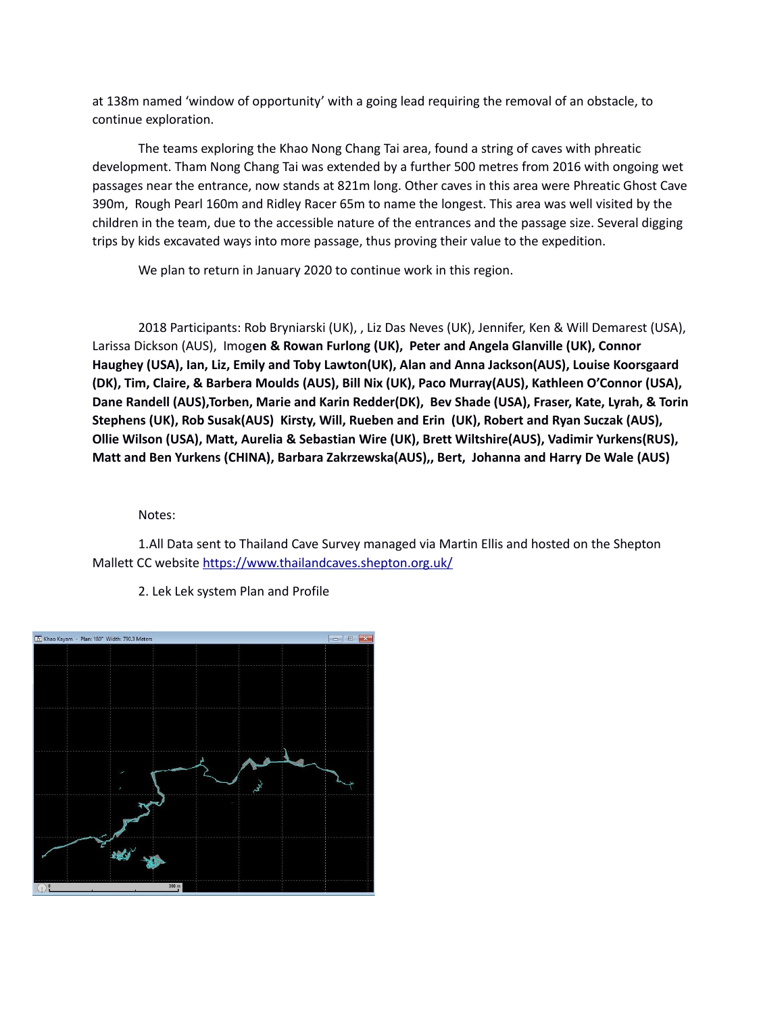at 138m named 'window of opportunity' with a going lead requiring the removal of an obstacle, to continue exploration.

The teams exploring the Khao Nong Chang Tai area, found a string of caves with phreatic development. Tham Nong Chang Tai was extended by a further 500 metres from 2016 with ongoing wet passages near the entrance, now stands at 821m long. Other caves in this area were Phreatic Ghost Cave 390m, Rough Pearl 160m and Ridley Racer 65m to name the longest. This area was well visited by the children in the team, due to the accessible nature of the entrances and the passage size. Several digging trips by kids excavated ways into more passage, thus proving their value to the expedition.

We plan to return in January 2020 to continue work in this region.

2018 Participants: Rob Bryniarski (UK), , Liz Das Neves (UK), Jennifer, Ken & Will Demarest (USA), Larissa Dickson (AUS), Imog**en & Rowan Furlong (UK), Peter and Angela Glanville (UK), Connor Haughey (USA), Ian, Liz, Emily and Toby Lawton(UK), Alan and Anna Jackson(AUS), Louise Koorsgaard (DK), Tim, Claire, & Barbera Moulds (AUS), Bill Nix (UK), Paco Murray(AUS), Kathleen O'Connor (USA), Dane Randell (AUS),Torben, Marie and Karin Redder(DK), Bev Shade (USA), Fraser, Kate, Lyrah, & Torin Stephens (UK), Rob Susak(AUS) Kirsty, Will, Rueben and Erin (UK), Robert and Ryan Suczak (AUS), Ollie Wilson (USA), Matt, Aurelia & Sebastian Wire (UK), Brett Wiltshire(AUS), Vadimir Yurkens(RUS), Matt and Ben Yurkens (CHINA), Barbara Zakrzewska(AUS),, Bert, Johanna and Harry De Wale (AUS)**

Notes:

1.All Data sent to Thailand Cave Survey managed via Martin Ellis and hosted on the Shepton Mallett CC website<https://www.thailandcaves.shepton.org.uk/>



2. Lek Lek system Plan and Profile